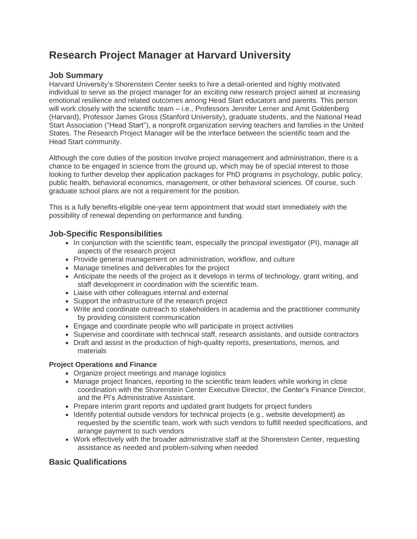# **Research Project Manager at Harvard University**

## **Job Summary**

Harvard University's Shorenstein Center seeks to hire a detail-oriented and highly motivated individual to serve as the project manager for an exciting new research project aimed at increasing emotional resilience and related outcomes among Head Start educators and parents. This person will work closely with the scientific team - i.e., Professors Jennifer Lerner and Amit Goldenberg (Harvard), Professor James Gross (Stanford University), graduate students, and the National Head Start Association ("Head Start"), a nonprofit organization serving teachers and families in the United States. The Research Project Manager will be the interface between the scientific team and the Head Start community.

Although the core duties of the position involve project management and administration, there is a chance to be engaged in science from the ground up, which may be of special interest to those looking to further develop their application packages for PhD programs in psychology, public policy, public health, behavioral economics, management, or other behavioral sciences. Of course, such graduate school plans are not a requirement for the position.

This is a fully benefits-eligible one-year term appointment that would start immediately with the possibility of renewal depending on performance and funding.

### **Job-Specific Responsibilities**

- In conjunction with the scientific team, especially the principal investigator (PI), manage all aspects of the research project
- Provide general management on administration, workflow, and culture
- Manage timelines and deliverables for the project
- Anticipate the needs of the project as it develops in terms of technology, grant writing, and staff development in coordination with the scientific team.
- Liaise with other colleagues internal and external
- Support the infrastructure of the research project
- Write and coordinate outreach to stakeholders in academia and the practitioner community by providing consistent communication
- Engage and coordinate people who will participate in project activities
- Supervise and coordinate with technical staff, research assistants, and outside contractors
- Draft and assist in the production of high-quality reports, presentations, memos, and materials

#### **Project Operations and Finance**

- Organize project meetings and manage logistics
- Manage project finances, reporting to the scientific team leaders while working in close coordination with the Shorenstein Center Executive Director, the Center's Finance Director, and the PI's Administrative Assistant.
- Prepare interim grant reports and updated grant budgets for project funders
- Identify potential outside vendors for technical projects (e.g., website development) as requested by the scientific team, work with such vendors to fulfill needed specifications, and arrange payment to such vendors
- Work effectively with the broader administrative staff at the Shorenstein Center, requesting assistance as needed and problem-solving when needed

## **Basic Qualifications**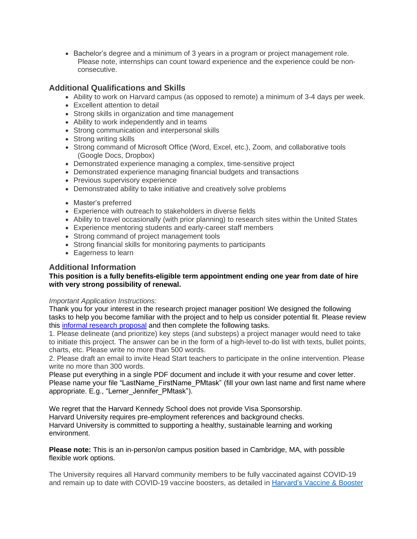• Bachelor's degree and a minimum of 3 years in a program or project management role. Please note, internships can count toward experience and the experience could be nonconsecutive.

## **Additional Qualifications and Skills**

- Ability to work on Harvard campus (as opposed to remote) a minimum of 3-4 days per week.
- Excellent attention to detail
- Strong skills in organization and time management
- Ability to work independently and in teams
- Strong communication and interpersonal skills
- Strong writing skills
- Strong command of Microsoft Office (Word, Excel, etc.), Zoom, and collaborative tools (Google Docs, Dropbox)
- Demonstrated experience managing a complex, time-sensitive project
- Demonstrated experience managing financial budgets and transactions
- Previous supervisory experience
- Demonstrated ability to take initiative and creatively solve problems
- Master's preferred
- Experience with outreach to stakeholders in diverse fields
- Ability to travel occasionally (with prior planning) to research sites within the United States
- Experience mentoring students and early-career staff members
- Strong command of project management tools
- Strong financial skills for monitoring payments to participants
- Eagerness to learn

## **Additional Information**

#### **This position is a fully benefits-eligible term appointment ending one year from date of hire with very strong possibility of renewal.**

#### *Important Application Instructions:*

Thank you for your interest in the research project manager position! We designed the following tasks to help you become familiar with the project and to help us consider potential fit. Please review this informal [research](https://urldefense.proofpoint.com/v2/url?u=https-3A__docs.google.com_document_d_1-5FRgqtYi5StwNu3nz9SMNB0ry79U3S9huoc8BOjGrt0g_edit-3Fusp-3Dsharing&d=DwMFaQ&c=WO-RGvefibhHBZq3fL85hQ&r=qzPvNTVo2W9mKozBjpmYx5sJ78gdmn67subiFxKeZkXt1CH7B3FJ5FV-0ozSpaPT&m=fZPFDk7KZTpCAB2U9dPPcDPCkl6VGX0L_1MQmTvMevyvGGbIwUBczDESiVJTt6vI&s=lcmIPR_06kibNUqgb-xH_Mqy-hXqOmw7djAwSdYOfxc&e=) proposal and then complete the following tasks.

1. Please delineate (and prioritize) key steps (and substeps) a project manager would need to take to initiate this project. The answer can be in the form of a high-level to-do list with texts, bullet points, charts, etc. Please write no more than 500 words.

2. Please draft an email to invite Head Start teachers to participate in the online intervention. Please write no more than 300 words.

Please put everything in a single PDF document and include it with your resume and cover letter. Please name your file "LastName FirstName PMtask" (fill your own last name and first name where appropriate. E.g., "Lerner\_Jennifer\_PMtask").

We regret that the Harvard Kennedy School does not provide Visa Sponsorship. Harvard University requires pre-employment references and background checks. Harvard University is committed to supporting a healthy, sustainable learning and working environment.

**Please note:** This is an in-person/on campus position based in Cambridge, MA, with possible flexible work options.

The University requires all Harvard community members to be fully vaccinated against COVID-19 and remain up to date with COVID-19 vaccine boosters, as detailed in [Harvard's](https://www.harvard.edu/coronavirus/covid-19-vaccine-information/) Vaccine & Booster